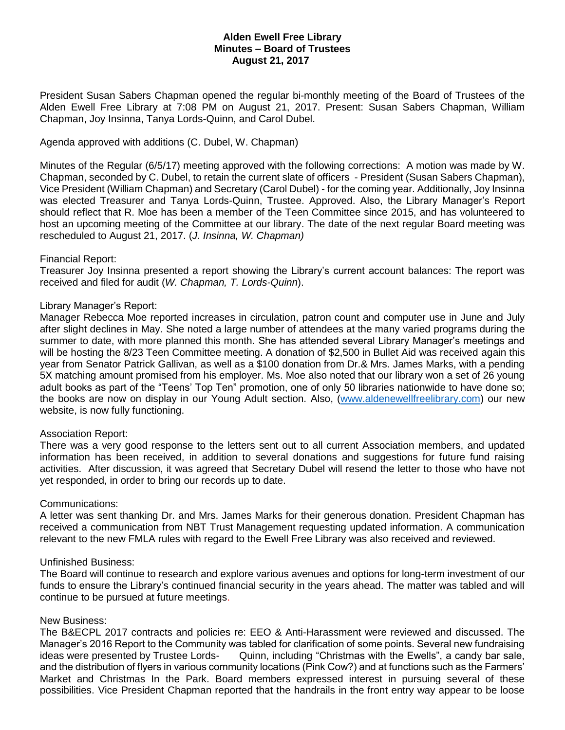# **Alden Ewell Free Library Minutes – Board of Trustees August 21, 2017**

President Susan Sabers Chapman opened the regular bi-monthly meeting of the Board of Trustees of the Alden Ewell Free Library at 7:08 PM on August 21, 2017. Present: Susan Sabers Chapman, William Chapman, Joy Insinna, Tanya Lords-Quinn, and Carol Dubel.

### Agenda approved with additions (C. Dubel, W. Chapman)

Minutes of the Regular (6/5/17) meeting approved with the following corrections: A motion was made by W. Chapman, seconded by C. Dubel, to retain the current slate of officers - President (Susan Sabers Chapman), Vice President (William Chapman) and Secretary (Carol Dubel) - for the coming year. Additionally, Joy Insinna was elected Treasurer and Tanya Lords-Quinn, Trustee. Approved. Also, the Library Manager's Report should reflect that R. Moe has been a member of the Teen Committee since 2015, and has volunteered to host an upcoming meeting of the Committee at our library. The date of the next regular Board meeting was rescheduled to August 21, 2017. (*J. Insinna, W. Chapman)*

## Financial Report:

Treasurer Joy Insinna presented a report showing the Library's current account balances: The report was received and filed for audit (*W. Chapman, T. Lords-Quinn*).

## Library Manager's Report:

Manager Rebecca Moe reported increases in circulation, patron count and computer use in June and July after slight declines in May. She noted a large number of attendees at the many varied programs during the summer to date, with more planned this month. She has attended several Library Manager's meetings and will be hosting the 8/23 Teen Committee meeting. A donation of \$2,500 in Bullet Aid was received again this year from Senator Patrick Gallivan, as well as a \$100 donation from Dr.& Mrs. James Marks, with a pending 5X matching amount promised from his employer. Ms. Moe also noted that our library won a set of 26 young adult books as part of the "Teens' Top Ten" promotion, one of only 50 libraries nationwide to have done so; the books are now on display in our Young Adult section. Also, [\(www.aldenewellfreelibrary.com\)](http://www.aldenewellfreelibrary.com/) our new website, is now fully functioning.

#### Association Report:

There was a very good response to the letters sent out to all current Association members, and updated information has been received, in addition to several donations and suggestions for future fund raising activities. After discussion, it was agreed that Secretary Dubel will resend the letter to those who have not yet responded, in order to bring our records up to date.

#### Communications:

A letter was sent thanking Dr. and Mrs. James Marks for their generous donation. President Chapman has received a communication from NBT Trust Management requesting updated information. A communication relevant to the new FMLA rules with regard to the Ewell Free Library was also received and reviewed.

#### Unfinished Business:

The Board will continue to research and explore various avenues and options for long-term investment of our funds to ensure the Library's continued financial security in the years ahead. The matter was tabled and will continue to be pursued at future meetings.

#### New Business:

The B&ECPL 2017 contracts and policies re: EEO & Anti-Harassment were reviewed and discussed. The Manager's 2016 Report to the Community was tabled for clarification of some points. Several new fundraising ideas were presented by Trustee Lords- Quinn, including "Christmas with the Ewells", a candy bar sale, and the distribution of flyers in various community locations (Pink Cow?) and at functions such as the Farmers' Market and Christmas In the Park. Board members expressed interest in pursuing several of these possibilities. Vice President Chapman reported that the handrails in the front entry way appear to be loose